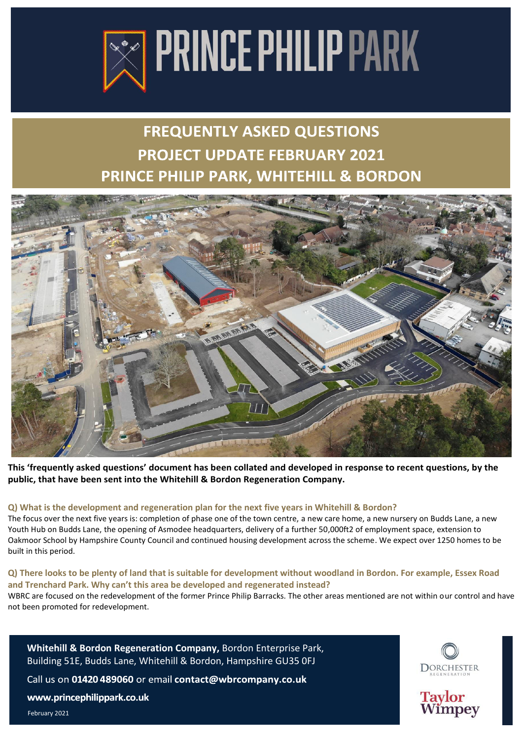

# **FREQUENTLY ASKED QUESTIONS PROJECT UPDATE FEBRUARY 2021** PRINCE PHILIP PARK, WHITEHILL & BORDON



**This 'frequently asked questions' document has been collated and developed in response to recent questions, by the public, that have been sent into the Whitehill & Bordon Regeneration Company.** 

# **Q) What is the development and regeneration plan for the next five years in Whitehill & Bordon?**

The focus over the next five years is: completion of phase one of the town centre, a new care home, a new nursery on Budds Lane, a new Youth Hub on Budds Lane, the opening of Asmodee headquarters, delivery of a further 50,000ft2 of employment space, extension to Oakmoor School by Hampshire County Council and continued housing development across the scheme. We expect over 1250 homes to be built in this period.

#### **Q) There looks to be plenty of land that is suitable for development without woodland in Bordon. For example, Essex Road and Trenchard Park. Why can't this area be developed and regenerated instead?**  WBRC are focused on the redevelopment of the former Prince Philip Barracks. The other areas mentioned are not within our control and have not been promoted for redevelopment.







February 2021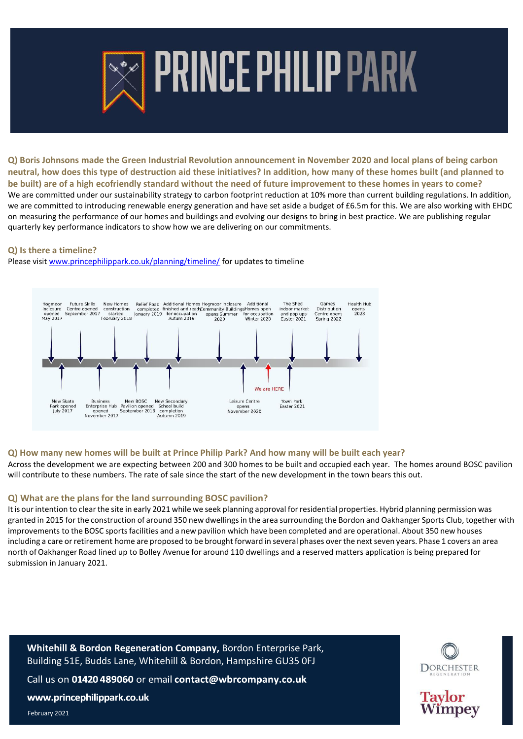

# **PRINCE PHILIP PARK**

**Q) Boris Johnsons made the Green Industrial Revolution announcement in November 2020 and local plans of being carbon neutral, how does this type of destruction aid these initiatives? In addition, how many of these homes built (and planned to be built) are of a high ecofriendly standard without the need of future improvement to these homes in years to come?** We are committed under our sustainability strategy to carbon footprint reduction at 10% more than current building regulations. In addition, we are committed to introducing renewable energy generation and have set aside a budget of £6.5m for this. We are also working with EHDC on measuring the performance of our homes and buildings and evolving our designs to bring in best practice. We are publishing regular quarterly key performance indicators to show how we are delivering on our commitments.

#### **Q) Is there a timeline?**

Please visit [www.princephilippark.co.uk/planning/timeline/](http://www.princephilippark.co.uk/planning/timeline/) for updates to timeline



# **Q) How many new homes will be built at Prince Philip Park? And how many will be built each year?**

Across the development we are expecting between 200 and 300 homes to be built and occupied each year. The homes around BOSC pavilion will contribute to these numbers. The rate of sale since the start of the new development in the town bears this out.

# **Q) What are the plans for the land surrounding BOSC pavilion?**

It is our intention to clear the site in early 2021 while we seek planning approval for residential properties. Hybrid planning permission was granted in 2015 for the construction of around 350 new dwellings in the area surrounding the Bordon and Oakhanger Sports Club, together with improvements to the BOSC sports facilities and a new pavilion which have been completed and are operational. About 350 new houses including a care or retirement home are proposed to be brought forward in several phases over the next seven years. Phase 1 covers an area north of Oakhanger Road lined up to Bolley Avenue for around 110 dwellings and a reserved matters application is being prepared for submission in January 2021.

**Whitehill & Bordon Regeneration Company,** Bordon Enterprise Park, Building 51E, Budds Lane, Whitehill & Bordon, Hampshire GU35 0FJ Call us on 01420 489060 or email contact@wbrcompany.co.uk www.princephilippark.co.uk February 2021



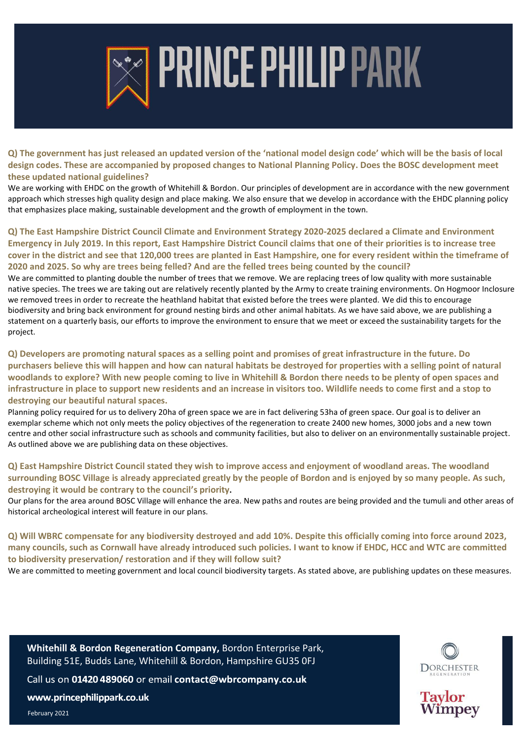

# **PRINCE PHILIP PARK**

**Q) The government has just released an updated version of the 'national model design code' which will be the basis of local design codes. These are accompanied by proposed changes to National Planning Policy. Does the BOSC development meet these updated national guidelines?** 

We are working with EHDC on the growth of Whitehill & Bordon. Our principles of development are in accordance with the new government approach which stresses high quality design and place making. We also ensure that we develop in accordance with the EHDC planning policy that emphasizes place making, sustainable development and the growth of employment in the town.

**Q) The East Hampshire District Council Climate and Environment Strategy 2020-2025 declared a Climate and Environment Emergency in July 2019. In this report, East Hampshire District Council claims that one of their priorities is to increase tree cover in the district and see that 120,000 trees are planted in East Hampshire, one for every resident within the timeframe of 2020 and 2025. So why are trees being felled? And are the felled trees being counted by the council?** 

We are committed to planting double the number of trees that we remove. We are replacing trees of low quality with more sustainable native species. The trees we are taking out are relatively recently planted by the Army to create training environments. On Hogmoor Inclosure we removed trees in order to recreate the heathland habitat that existed before the trees were planted. We did this to encourage biodiversity and bring back environment for ground nesting birds and other animal habitats. As we have said above, we are publishing a statement on a quarterly basis, our efforts to improve the environment to ensure that we meet or exceed the sustainability targets for the project.

**Q) Developers are promoting natural spaces as a selling point and promises of great infrastructure in the future. Do purchasers believe this will happen and how can natural habitats be destroyed for properties with a selling point of natural woodlands to explore? With new people coming to live in Whitehill & Bordon there needs to be plenty of open spaces and infrastructure in place to support new residents and an increase in visitors too. Wildlife needs to come first and a stop to destroying our beautiful natural spaces.** 

Planning policy required for us to delivery 20ha of green space we are in fact delivering 53ha of green space. Our goal is to deliver an exemplar scheme which not only meets the policy objectives of the regeneration to create 2400 new homes, 3000 jobs and a new town centre and other social infrastructure such as schools and community facilities, but also to deliver on an environmentally sustainable project. As outlined above we are publishing data on these objectives.

**Q) East Hampshire District Council stated they wish to improve access and enjoyment of woodland areas. The woodland surrounding BOSC Village is already appreciated greatly by the people of Bordon and is enjoyed by so many people. As such, destroying it would be contrary to the council's priority.**

Our plans for the area around BOSC Village will enhance the area. New paths and routes are being provided and the tumuli and other areas of historical archeological interest will feature in our plans.

**Q) Will WBRC compensate for any biodiversity destroyed and add 10%. Despite this officially coming into force around 2023, many councils, such as Cornwall have already introduced such policies. I want to know if EHDC, HCC and WTC are committed to biodiversity preservation/ restoration and if they will follow suit?** 

We are committed to meeting government and local council biodiversity targets. As stated above, are publishing updates on these measures.

**Whitehill & Bordon Regeneration Company,** Bordon Enterprise Park, Building 51E, Budds Lane, Whitehill & Bordon, Hampshire GU35 0FJ

Call us on 01420 489060 or email contact@wbrcompany.co.uk

www.princephilippark.co.uk

February 2021